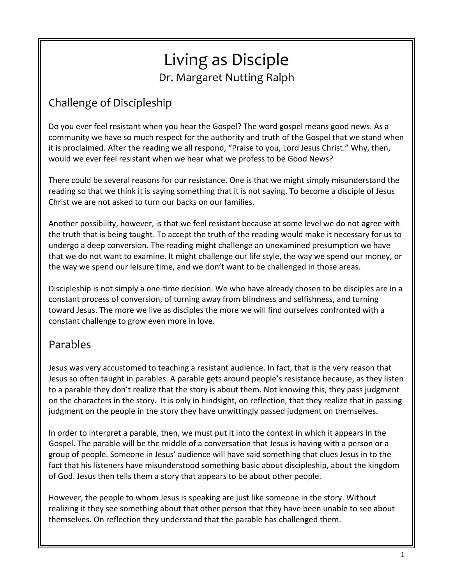# Living as Disciple Dr. Margaret Nutting Ralph

# Challenge of Discipleship

Do you ever feel resistant when you hear the Gospel? The word gospel means good news. As a community we have so much respect for the authority and truth of the Gospel that we stand when it is proclaimed. After the reading we all respond, "Praise to you, Lord Jesus Christ." Why, then, would we ever feel resistant when we hear what we profess to be Good News?

There could be several reasons for our resistance. One is that we might simply misunderstand the reading so that we think it is saying something that it is not saying. To become a disciple of Jesus Christ we are not asked to turn our backs on our families.

Another possibility, however, is that we feel resistant because at some level we do not agree with the truth that is being taught. To accept the truth of the reading would make it necessary for us to undergo a deep conversion. The reading might challenge an unexamined presumption we have that we do not want to examine. It might challenge our life style, the way we spend our money, or the way we spend our leisure time, and we don't want to be challenged in those areas.

Discipleship is not simply a one-time decision. We who have already chosen to be disciples are in a constant process of conversion, of turning away from blindness and selfishness, and turning toward Jesus. The more we live as disciples the more we will find ourselves confronted with a constant challenge to grow even more in love.

# Parables

Jesus was very accustomed to teaching a resistant audience. In fact, that is the very reason that Jesus so often taught in parables. A parable gets around people's resistance because, as they listen to a parable they don't realize that the story is about them. Not knowing this, they pass judgment on the characters in the story. It is only in hindsight, on reflection, that they realize that in passing judgment on the people in the story they have unwittingly passed judgment on themselves.

In order to interpret a parable, then, we must put it into the context in which it appears in the Gospel. The parable will be the middle of a conversation that Jesus is having with a person or a group of people. Someone in Jesus' audience will have said something that clues Jesus in to the fact that his listeners have misunderstood something basic about discipleship, about the kingdom of God. Jesus then tells them a story that appears to be about other people.

However, the people to whom Jesus is speaking are just like someone in the story. Without realizing it they see something about that other person that they have been unable to see about themselves. On reflection they understand that the parable has challenged them.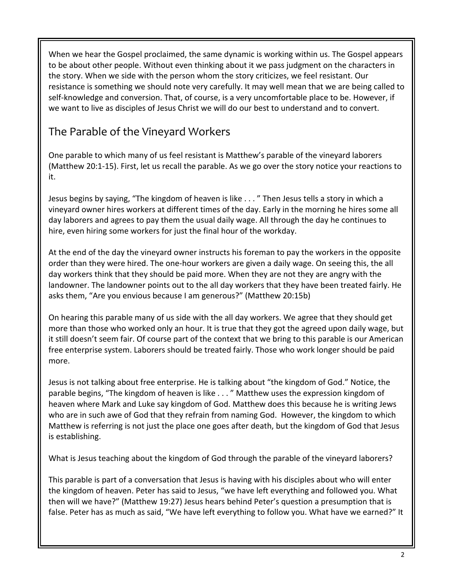When we hear the Gospel proclaimed, the same dynamic is working within us. The Gospel appears to be about other people. Without even thinking about it we pass judgment on the characters in the story. When we side with the person whom the story criticizes, we feel resistant. Our resistance is something we should note very carefully. It may well mean that we are being called to self-knowledge and conversion. That, of course, is a very uncomfortable place to be. However, if we want to live as disciples of Jesus Christ we will do our best to understand and to convert.

# The Parable of the Vineyard Workers

One parable to which many of us feel resistant is Matthew's parable of the vineyard laborers (Matthew 20:1-15). First, let us recall the parable. As we go over the story notice your reactions to it.

Jesus begins by saying, "The kingdom of heaven is like . . . " Then Jesus tells a story in which a vineyard owner hires workers at different times of the day. Early in the morning he hires some all day laborers and agrees to pay them the usual daily wage. All through the day he continues to hire, even hiring some workers for just the final hour of the workday.

At the end of the day the vineyard owner instructs his foreman to pay the workers in the opposite order than they were hired. The one-hour workers are given a daily wage. On seeing this, the all day workers think that they should be paid more. When they are not they are angry with the landowner. The landowner points out to the all day workers that they have been treated fairly. He asks them, "Are you envious because I am generous?" (Matthew 20:15b)

On hearing this parable many of us side with the all day workers. We agree that they should get more than those who worked only an hour. It is true that they got the agreed upon daily wage, but it still doesn't seem fair. Of course part of the context that we bring to this parable is our American free enterprise system. Laborers should be treated fairly. Those who work longer should be paid more.

Jesus is not talking about free enterprise. He is talking about "the kingdom of God." Notice, the parable begins, "The kingdom of heaven is like . . . " Matthew uses the expression kingdom of heaven where Mark and Luke say kingdom of God. Matthew does this because he is writing Jews who are in such awe of God that they refrain from naming God. However, the kingdom to which Matthew is referring is not just the place one goes after death, but the kingdom of God that Jesus is establishing.

What is Jesus teaching about the kingdom of God through the parable of the vineyard laborers?

This parable is part of a conversation that Jesus is having with his disciples about who will enter the kingdom of heaven. Peter has said to Jesus, "we have left everything and followed you. What then will we have?" (Matthew 19:27) Jesus hears behind Peter's question a presumption that is false. Peter has as much as said, "We have left everything to follow you. What have we earned?" It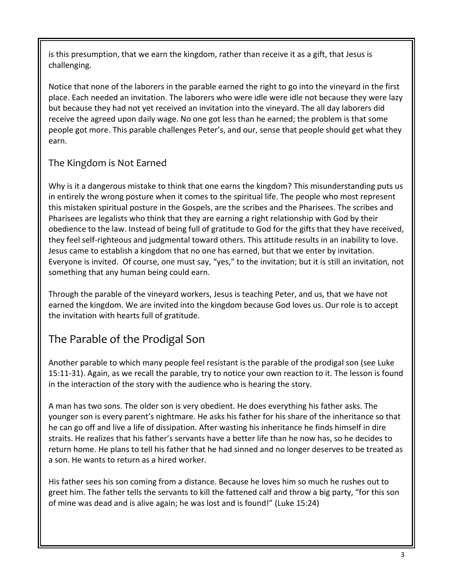is this presumption, that we earn the kingdom, rather than receive it as a gift, that Jesus is challenging.

Notice that none of the laborers in the parable earned the right to go into the vineyard in the first place. Each needed an invitation. The laborers who were idle were idle not because they were lazy but because they had not yet received an invitation into the vineyard. The all day laborers did receive the agreed upon daily wage. No one got less than he earned; the problem is that some people got more. This parable challenges Peter's, and our, sense that people should get what they earn.

#### The Kingdom is Not Earned

Why is it a dangerous mistake to think that one earns the kingdom? This misunderstanding puts us in entirely the wrong posture when it comes to the spiritual life. The people who most represent this mistaken spiritual posture in the Gospels, are the scribes and the Pharisees. The scribes and Pharisees are legalists who think that they are earning a right relationship with God by their obedience to the law. Instead of being full of gratitude to God for the gifts that they have received, they feel self-righteous and judgmental toward others. This attitude results in an inability to love. Jesus came to establish a kingdom that no one has earned, but that we enter by invitation. Everyone is invited. Of course, one must say, "yes," to the invitation; but it is still an invitation, not something that any human being could earn.

Through the parable of the vineyard workers, Jesus is teaching Peter, and us, that we have not earned the kingdom. We are invited into the kingdom because God loves us. Our role is to accept the invitation with hearts full of gratitude.

# The Parable of the Prodigal Son

Another parable to which many people feel resistant is the parable of the prodigal son (see Luke 15:11-31). Again, as we recall the parable, try to notice your own reaction to it. The lesson is found in the interaction of the story with the audience who is hearing the story.

A man has two sons. The older son is very obedient. He does everything his father asks. The younger son is every parent's nightmare. He asks his father for his share of the inheritance so that he can go off and live a life of dissipation. After wasting his inheritance he finds himself in dire straits. He realizes that his father's servants have a better life than he now has, so he decides to return home. He plans to tell his father that he had sinned and no longer deserves to be treated as a son. He wants to return as a hired worker.

His father sees his son coming from a distance. Because he loves him so much he rushes out to greet him. The father tells the servants to kill the fattened calf and throw a big party, "for this son of mine was dead and is alive again; he was lost and is found!" (Luke 15:24)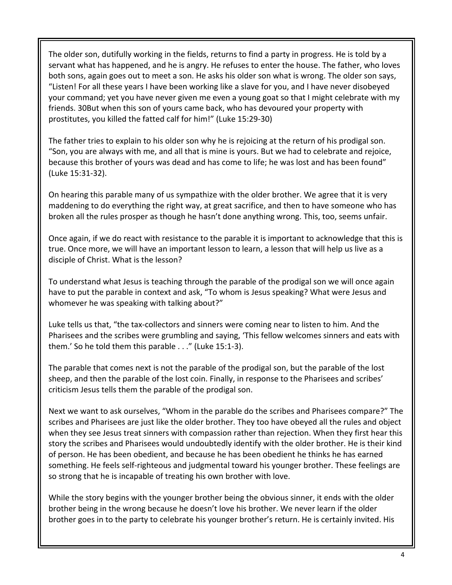The older son, dutifully working in the fields, returns to find a party in progress. He is told by a servant what has happened, and he is angry. He refuses to enter the house. The father, who loves both sons, again goes out to meet a son. He asks his older son what is wrong. The older son says, "Listen! For all these years I have been working like a slave for you, and I have never disobeyed your command; yet you have never given me even a young goat so that I might celebrate with my friends. 30But when this son of yours came back, who has devoured your property with prostitutes, you killed the fatted calf for him!" (Luke 15:29-30)

The father tries to explain to his older son why he is rejoicing at the return of his prodigal son. "Son, you are always with me, and all that is mine is yours. But we had to celebrate and rejoice, because this brother of yours was dead and has come to life; he was lost and has been found" (Luke 15:31-32).

On hearing this parable many of us sympathize with the older brother. We agree that it is very maddening to do everything the right way, at great sacrifice, and then to have someone who has broken all the rules prosper as though he hasn't done anything wrong. This, too, seems unfair.

Once again, if we do react with resistance to the parable it is important to acknowledge that this is true. Once more, we will have an important lesson to learn, a lesson that will help us live as a disciple of Christ. What is the lesson?

To understand what Jesus is teaching through the parable of the prodigal son we will once again have to put the parable in context and ask, "To whom is Jesus speaking? What were Jesus and whomever he was speaking with talking about?"

Luke tells us that, "the tax-collectors and sinners were coming near to listen to him. And the Pharisees and the scribes were grumbling and saying, 'This fellow welcomes sinners and eats with them.' So he told them this parable . . ." (Luke 15:1-3).

The parable that comes next is not the parable of the prodigal son, but the parable of the lost sheep, and then the parable of the lost coin. Finally, in response to the Pharisees and scribes' criticism Jesus tells them the parable of the prodigal son.

Next we want to ask ourselves, "Whom in the parable do the scribes and Pharisees compare?" The scribes and Pharisees are just like the older brother. They too have obeyed all the rules and object when they see Jesus treat sinners with compassion rather than rejection. When they first hear this story the scribes and Pharisees would undoubtedly identify with the older brother. He is their kind of person. He has been obedient, and because he has been obedient he thinks he has earned something. He feels self-righteous and judgmental toward his younger brother. These feelings are so strong that he is incapable of treating his own brother with love.

While the story begins with the younger brother being the obvious sinner, it ends with the older brother being in the wrong because he doesn't love his brother. We never learn if the older brother goes in to the party to celebrate his younger brother's return. He is certainly invited. His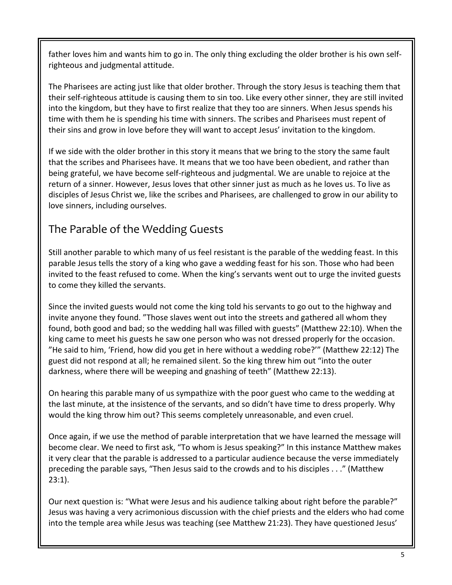father loves him and wants him to go in. The only thing excluding the older brother is his own selfrighteous and judgmental attitude.

The Pharisees are acting just like that older brother. Through the story Jesus is teaching them that their self-righteous attitude is causing them to sin too. Like every other sinner, they are still invited into the kingdom, but they have to first realize that they too are sinners. When Jesus spends his time with them he is spending his time with sinners. The scribes and Pharisees must repent of their sins and grow in love before they will want to accept Jesus' invitation to the kingdom.

If we side with the older brother in this story it means that we bring to the story the same fault that the scribes and Pharisees have. It means that we too have been obedient, and rather than being grateful, we have become self-righteous and judgmental. We are unable to rejoice at the return of a sinner. However, Jesus loves that other sinner just as much as he loves us. To live as disciples of Jesus Christ we, like the scribes and Pharisees, are challenged to grow in our ability to love sinners, including ourselves.

# The Parable of the Wedding Guests

Still another parable to which many of us feel resistant is the parable of the wedding feast. In this parable Jesus tells the story of a king who gave a wedding feast for his son. Those who had been invited to the feast refused to come. When the king's servants went out to urge the invited guests to come they killed the servants.

Since the invited guests would not come the king told his servants to go out to the highway and invite anyone they found. "Those slaves went out into the streets and gathered all whom they found, both good and bad; so the wedding hall was filled with guests" (Matthew 22:10). When the king came to meet his guests he saw one person who was not dressed properly for the occasion. "He said to him, 'Friend, how did you get in here without a wedding robe?'" (Matthew 22:12) The guest did not respond at all; he remained silent. So the king threw him out "into the outer darkness, where there will be weeping and gnashing of teeth" (Matthew 22:13).

On hearing this parable many of us sympathize with the poor guest who came to the wedding at the last minute, at the insistence of the servants, and so didn't have time to dress properly. Why would the king throw him out? This seems completely unreasonable, and even cruel.

Once again, if we use the method of parable interpretation that we have learned the message will become clear. We need to first ask, "To whom is Jesus speaking?" In this instance Matthew makes it very clear that the parable is addressed to a particular audience because the verse immediately preceding the parable says, "Then Jesus said to the crowds and to his disciples . . ." (Matthew 23:1).

Our next question is: "What were Jesus and his audience talking about right before the parable?" Jesus was having a very acrimonious discussion with the chief priests and the elders who had come into the temple area while Jesus was teaching (see Matthew 21:23). They have questioned Jesus'